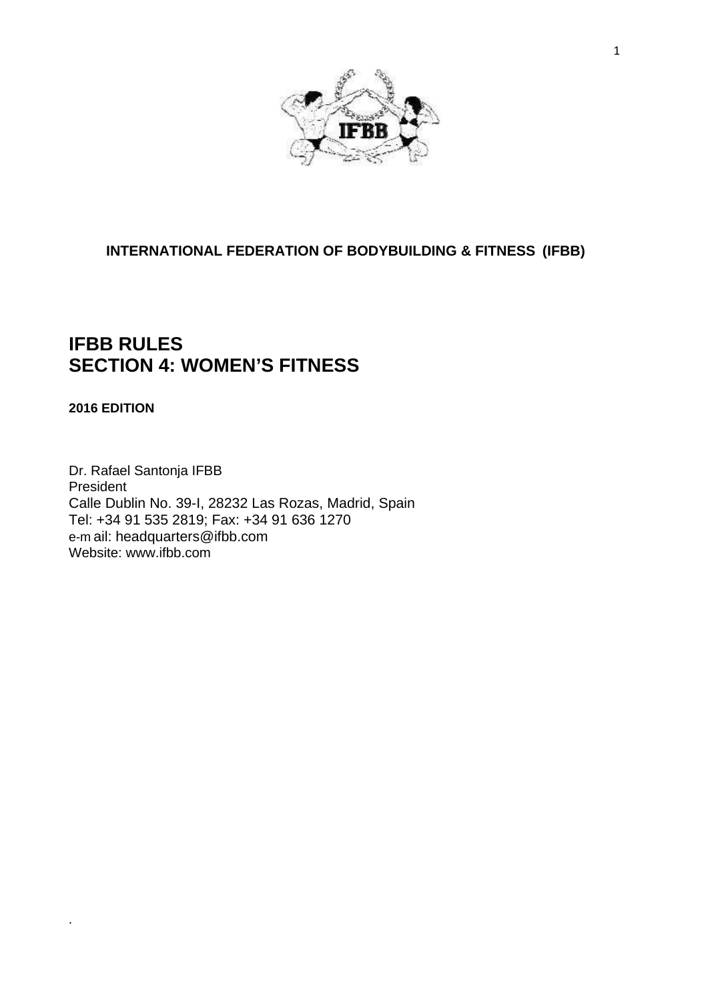

# **INTERNATIONAL FEDERATION OF BODYBUILDING & FITNESS (IFBB)**

# **IFBB RULES SECTION 4: WOMEN'S FITNESS**

## **2016 EDITION**

.

Dr. Rafael Santonja IFBB President Calle Dublin No. 39-I, 28232 Las Rozas, Madrid, Spain Tel: +34 91 535 2819; Fax: +34 91 636 1270 e-m ail: [headquarters@ifbb.com](mailto:headquarters@ifbb.com) Website: [www.ifbb.com](http://www.ifbb.com/)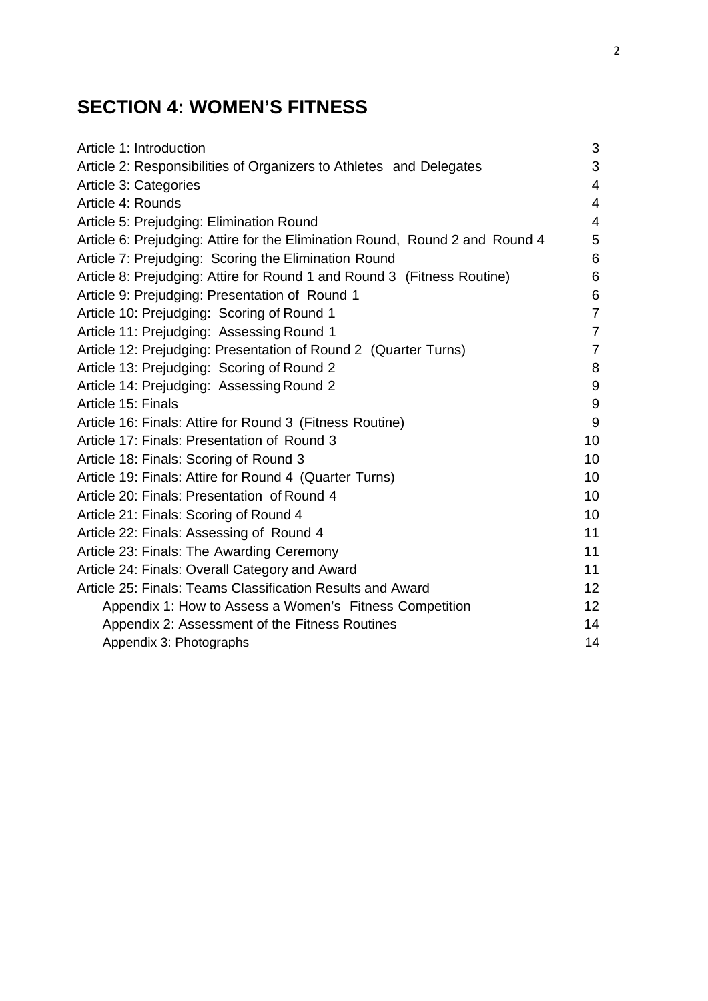# **SECTION 4: WOMEN'S FITNESS**

| Article 1: Introduction                                                      | 3               |
|------------------------------------------------------------------------------|-----------------|
| Article 2: Responsibilities of Organizers to Athletes and Delegates          | 3               |
| Article 3: Categories                                                        | 4               |
| Article 4: Rounds                                                            | $\overline{4}$  |
| Article 5: Prejudging: Elimination Round                                     | $\overline{4}$  |
| Article 6: Prejudging: Attire for the Elimination Round, Round 2 and Round 4 | 5               |
| Article 7: Prejudging: Scoring the Elimination Round                         | 6               |
| Article 8: Prejudging: Attire for Round 1 and Round 3 (Fitness Routine)      | 6               |
| Article 9: Prejudging: Presentation of Round 1                               | 6               |
| Article 10: Prejudging: Scoring of Round 1                                   | $\overline{7}$  |
| Article 11: Prejudging: Assessing Round 1                                    | $\overline{7}$  |
| Article 12: Prejudging: Presentation of Round 2 (Quarter Turns)              | $\overline{7}$  |
| Article 13: Prejudging: Scoring of Round 2                                   | 8               |
| Article 14: Prejudging: Assessing Round 2                                    | 9               |
| Article 15: Finals                                                           | 9               |
| Article 16: Finals: Attire for Round 3 (Fitness Routine)                     | 9               |
| Article 17: Finals: Presentation of Round 3                                  | 10              |
| Article 18: Finals: Scoring of Round 3                                       | 10              |
| Article 19: Finals: Attire for Round 4 (Quarter Turns)                       | 10              |
| Article 20: Finals: Presentation of Round 4                                  | 10              |
| Article 21: Finals: Scoring of Round 4                                       | 10              |
| Article 22: Finals: Assessing of Round 4                                     | 11              |
| Article 23: Finals: The Awarding Ceremony                                    | 11              |
| Article 24: Finals: Overall Category and Award                               | 11              |
| Article 25: Finals: Teams Classification Results and Award                   | 12 <sub>2</sub> |
| Appendix 1: How to Assess a Women's Fitness Competition                      | 12 <sub>2</sub> |
| Appendix 2: Assessment of the Fitness Routines                               | 14              |
| Appendix 3: Photographs                                                      | 14              |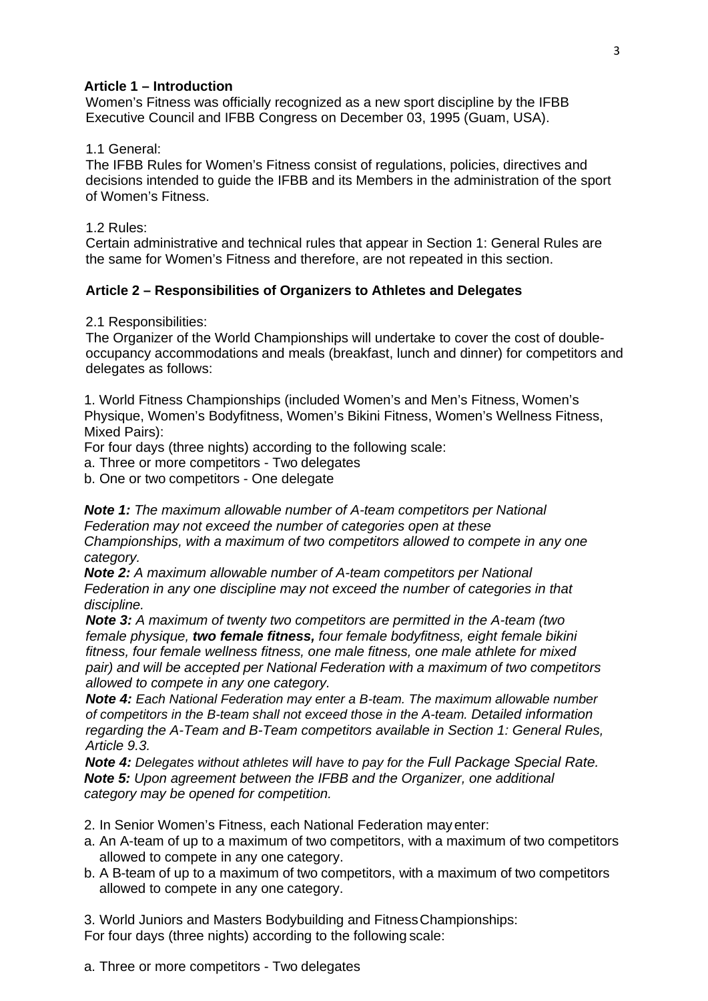#### **Article 1 – Introduction**

Women's Fitness was officially recognized as a new sport discipline by the IFBB Executive Council and IFBB Congress on December 03, 1995 (Guam, USA).

#### 1.1 General:

The IFBB Rules for Women's Fitness consist of regulations, policies, directives and decisions intended to guide the IFBB and its Members in the administration of the sport of Women's Fitness.

#### 1.2 Rules:

Certain administrative and technical rules that appear in Section 1: General Rules are the same for Women's Fitness and therefore, are not repeated in this section.

#### **Article 2 – Responsibilities of Organizers to Athletes and Delegates**

2.1 Responsibilities:

The Organizer of the World Championships will undertake to cover the cost of doubleoccupancy accommodations and meals (breakfast, lunch and dinner) for competitors and delegates as follows:

1. World Fitness Championships (included Women's and Men's Fitness, Women's Physique, Women's Bodyfitness, Women's Bikini Fitness, Women's Wellness Fitness, Mixed Pairs):

For four days (three nights) according to the following scale:

a. Three or more competitors - Two delegates

b. One or two competitors - One delegate

*Note 1: The maximum allowable number of A-team competitors per National Federation may not exceed the number of categories open at these Championships, with a maximum of two competitors allowed to compete in any one category.*

*Note 2: A maximum allowable number of A-team competitors per National Federation in any one discipline may not exceed the number of categories in that discipline.*

*Note 3: A maximum of twenty two competitors are permitted in the A-team (two female physique, two female fitness, four female bodyfitness, eight female bikini fitness, four female wellness fitness, one male fitness, one male athlete for mixed pair) and will be accepted per National Federation with a maximum of two competitors allowed to compete in any one category.*

*Note 4: Each National Federation may enter a B-team. The maximum allowable number of competitors in the B-team shall not exceed those in the A-team. Detailed information regarding the A-Team and B-Team competitors available in Section 1: General Rules, Article 9.3.*

*Note 4: Delegates without athletes will have to pay for the Full Package Special Rate. Note 5: Upon agreement between the IFBB and the Organizer, one additional category may be opened for competition.*

2. In Senior Women's Fitness, each National Federation mayenter:

- a. An A-team of up to a maximum of two competitors, with a maximum of two competitors allowed to compete in any one category.
- b. A B-team of up to a maximum of two competitors, with a maximum of two competitors allowed to compete in any one category.

3. World Juniors and Masters Bodybuilding and FitnessChampionships: For four days (three nights) according to the following scale:

a. Three or more competitors - Two delegates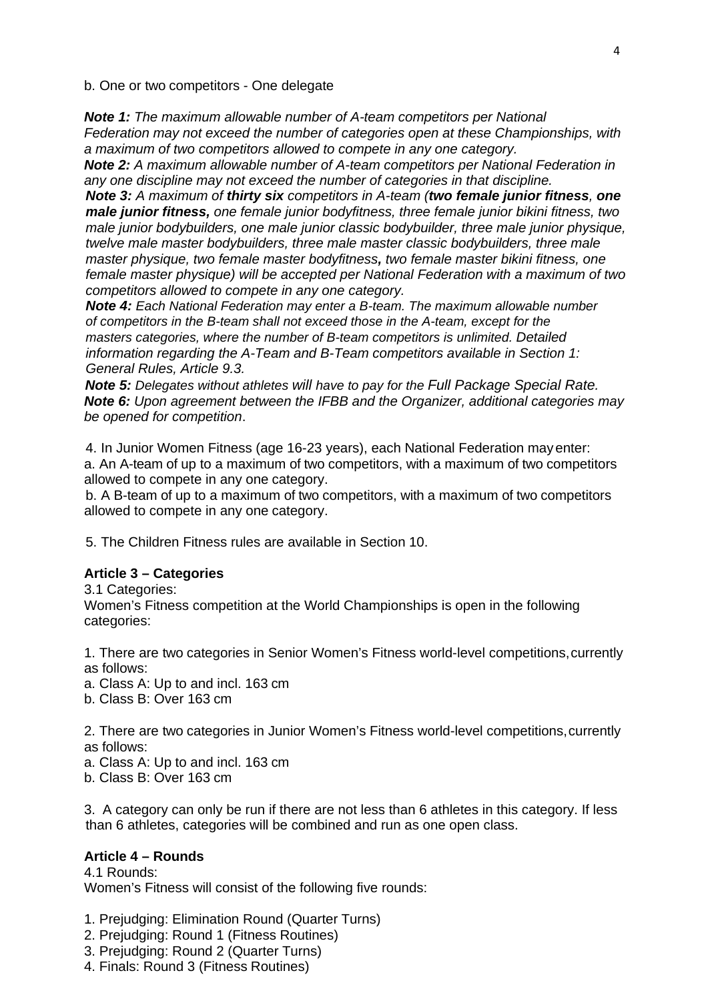b. One or two competitors - One delegate

*Note 1: The maximum allowable number of A-team competitors per National Federation may not exceed the number of categories open at these Championships, with a maximum of two competitors allowed to compete in any one category.*

*Note 2: A maximum allowable number of A-team competitors per National Federation in any one discipline may not exceed the number of categories in that discipline.*

*Note 3: A maximum of thirty six competitors in A-team (two female junior fitness, one male junior fitness, one female junior bodyfitness, three female junior bikini fitness, two male junior bodybuilders, one male junior classic bodybuilder, three male junior physique, twelve male master bodybuilders, three male master classic bodybuilders, three male master physique, two female master bodyfitness, two female master bikini fitness, one female master physique) will be accepted per National Federation with a maximum of two competitors allowed to compete in any one category.*

*Note 4: Each National Federation may enter a B-team. The maximum allowable number of competitors in the B-team shall not exceed those in the A-team, except for the masters categories, where the number of B-team competitors is unlimited. Detailed information regarding the A-Team and B-Team competitors available in Section 1: General Rules, Article 9.3.*

*Note 5: Delegates without athletes will have to pay for the Full Package Special Rate. Note 6: Upon agreement between the IFBB and the Organizer, additional categories may be opened for competition*.

4. In Junior Women Fitness (age 16-23 years), each National Federation mayenter: a. An A-team of up to a maximum of two competitors, with a maximum of two competitors allowed to compete in any one category.

b. A B-team of up to a maximum of two competitors, with a maximum of two competitors allowed to compete in any one category.

5. The Children Fitness rules are available in Section 10.

#### **Article 3 – Categories**

3.1 Categories:

Women's Fitness competition at the World Championships is open in the following categories:

1. There are two categories in Senior Women's Fitness world-level competitions,currently as follows:

a. Class A: Up to and incl. 163 cm

b. Class B: Over 163 cm

2. There are two categories in Junior Women's Fitness world-level competitions,currently as follows:

a. Class A: Up to and incl. 163 cm

b. Class B: Over 163 cm

3. A category can only be run if there are not less than 6 athletes in this category. If less than 6 athletes, categories will be combined and run as one open class.

## **Article 4 – Rounds**

4.1 Rounds: Women's Fitness will consist of the following five rounds:

1. Prejudging: Elimination Round (Quarter Turns)

2. Prejudging: Round 1 (Fitness Routines)

3. Prejudging: Round 2 (Quarter Turns)

4. Finals: Round 3 (Fitness Routines)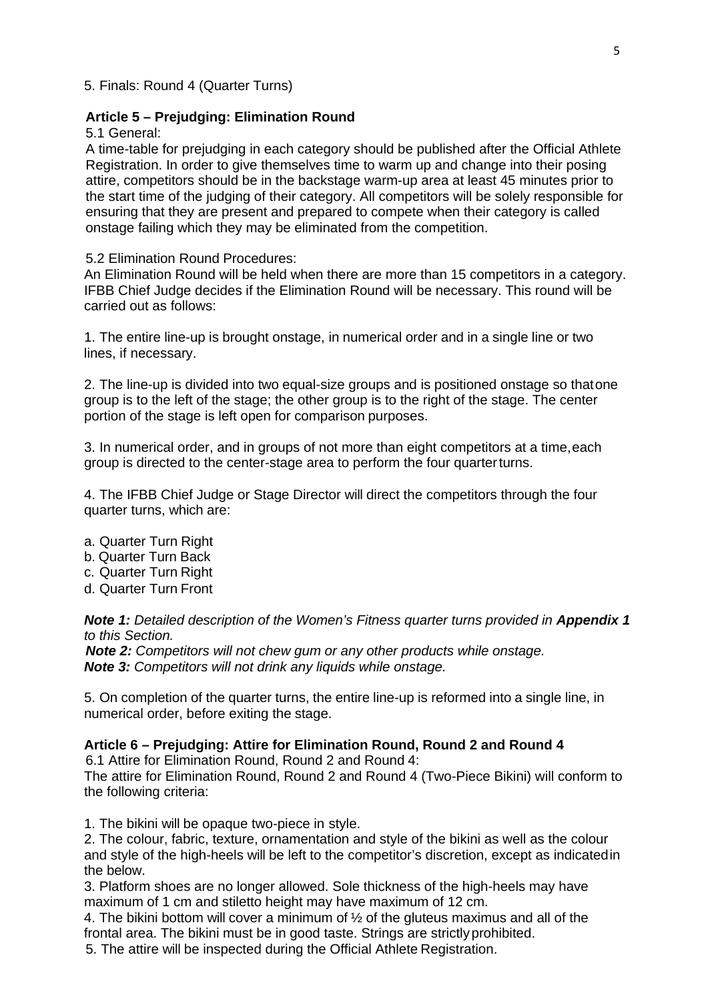5. Finals: Round 4 (Quarter Turns)

#### **Article 5 – Prejudging: Elimination Round**

5.1 General:

A time-table for prejudging in each category should be published after the Official Athlete Registration. In order to give themselves time to warm up and change into their posing attire, competitors should be in the backstage warm-up area at least 45 minutes prior to the start time of the judging of their category. All competitors will be solely responsible for ensuring that they are present and prepared to compete when their category is called onstage failing which they may be eliminated from the competition.

#### 5.2 Elimination Round Procedures:

An Elimination Round will be held when there are more than 15 competitors in a category. IFBB Chief Judge decides if the Elimination Round will be necessary. This round will be carried out as follows:

1. The entire line-up is brought onstage, in numerical order and in a single line or two lines, if necessary.

2. The line-up is divided into two equal-size groups and is positioned onstage so thatone group is to the left of the stage; the other group is to the right of the stage. The center portion of the stage is left open for comparison purposes.

3. In numerical order, and in groups of not more than eight competitors at a time,each group is directed to the center-stage area to perform the four quarterturns.

4. The IFBB Chief Judge or Stage Director will direct the competitors through the four quarter turns, which are:

- a. Quarter Turn Right
- b. Quarter Turn Back
- c. Quarter Turn Right
- d. Quarter Turn Front

**Note 1:** Detailed description of the Women's Fitness quarter turns provided in **Appendix 1** *to this Section.*

*Note 2: Competitors will not chew gum or any other products while onstage. Note 3: Competitors will not drink any liquids while onstage.*

5. On completion of the quarter turns, the entire line-up is reformed into a single line, in numerical order, before exiting the stage.

#### **Article 6 – Prejudging: Attire for Elimination Round, Round 2 and Round 4**

6.1 Attire for Elimination Round, Round 2 and Round 4:

The attire for Elimination Round, Round 2 and Round 4 (Two-Piece Bikini) will conform to the following criteria:

1. The bikini will be opaque two-piece in style.

2. The colour, fabric, texture, ornamentation and style of the bikini as well as the colour and style of the high-heels will be left to the competitor's discretion, except as indicatedin the below.

3. Platform shoes are no longer allowed. Sole thickness of the high-heels may have maximum of 1 cm and stiletto height may have maximum of 12 cm.

4. The bikini bottom will cover a minimum of  $\frac{1}{2}$  of the gluteus maximus and all of the frontal area. The bikini must be in good taste. Strings are strictlyprohibited.

5. The attire will be inspected during the Official Athlete Registration.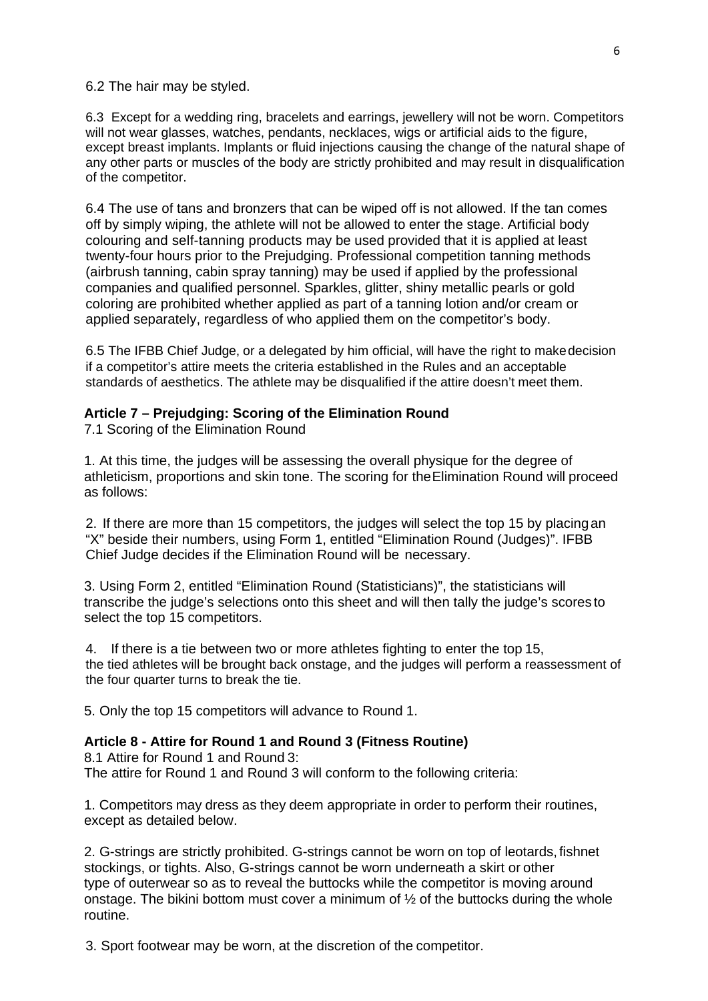6.2 The hair may be styled.

6.3 Except for a wedding ring, bracelets and earrings, jewellery will not be worn. Competitors will not wear glasses, watches, pendants, necklaces, wigs or artificial aids to the figure, except breast implants. Implants or fluid injections causing the change of the natural shape of any other parts or muscles of the body are strictly prohibited and may result in disqualification of the competitor.

6.4 The use of tans and bronzers that can be wiped off is not allowed. If the tan comes off by simply wiping, the athlete will not be allowed to enter the stage. Artificial body colouring and self-tanning products may be used provided that it is applied at least twenty-four hours prior to the Prejudging. Professional competition tanning methods (airbrush tanning, cabin spray tanning) may be used if applied by the professional companies and qualified personnel. Sparkles, glitter, shiny metallic pearls or gold coloring are prohibited whether applied as part of a tanning lotion and/or cream or applied separately, regardless of who applied them on the competitor's body.

6.5 The IFBB Chief Judge, or a delegated by him official, will have the right to makedecision if a competitor's attire meets the criteria established in the Rules and an acceptable standards of aesthetics. The athlete may be disqualified if the attire doesn't meet them.

#### **Article 7 – Prejudging: Scoring of the Elimination Round**

7.1 Scoring of the Elimination Round

1. At this time, the judges will be assessing the overall physique for the degree of athleticism, proportions and skin tone. The scoring for theElimination Round will proceed as follows:

2. If there are more than 15 competitors, the judges will select the top 15 by placingan "X" beside their numbers, using Form 1, entitled "Elimination Round (Judges)". IFBB Chief Judge decides if the Elimination Round will be necessary.

3. Using Form 2, entitled "Elimination Round (Statisticians)", the statisticians will transcribe the judge's selections onto this sheet and will then tally the judge's scores to select the top 15 competitors.

4. If there is a tie between two or more athletes fighting to enter the top 15, the tied athletes will be brought back onstage, and the judges will perform a reassessment of the four quarter turns to break the tie.

5. Only the top 15 competitors will advance to Round 1.

#### **Article 8 - Attire for Round 1 and Round 3 (Fitness Routine)**

8.1 Attire for Round 1 and Round 3:

The attire for Round 1 and Round 3 will conform to the following criteria:

1. Competitors may dress as they deem appropriate in order to perform their routines, except as detailed below.

2. G-strings are strictly prohibited. G-strings cannot be worn on top of leotards, fishnet stockings, or tights. Also, G-strings cannot be worn underneath a skirt or other type of outerwear so as to reveal the buttocks while the competitor is moving around onstage. The bikini bottom must cover a minimum of  $\frac{1}{2}$  of the buttocks during the whole routine.

3. Sport footwear may be worn, at the discretion of the competitor.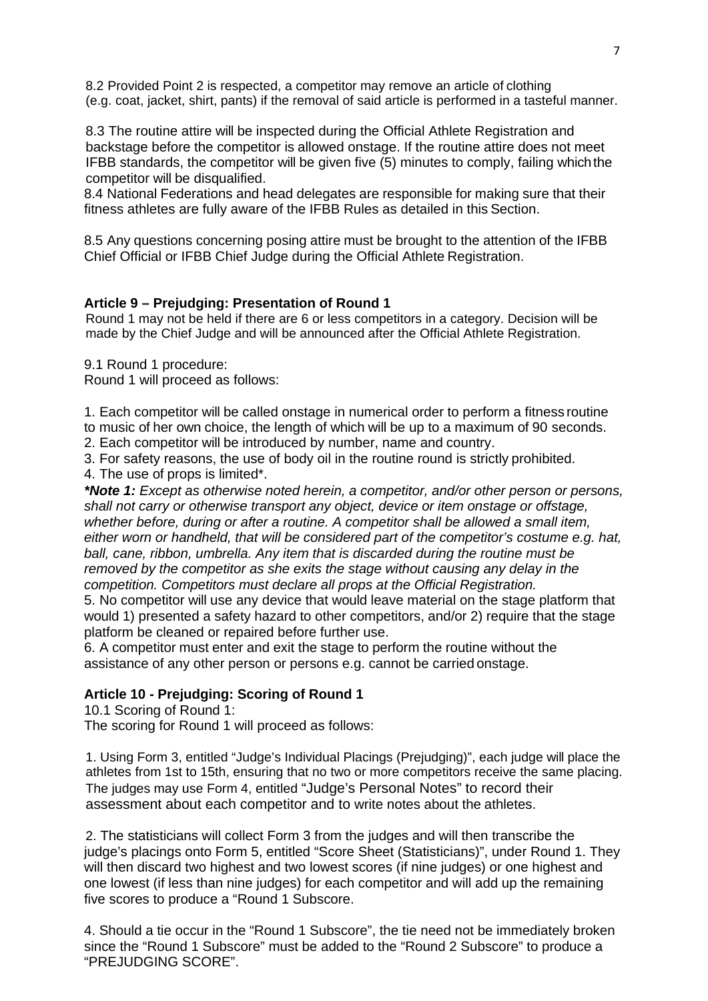8.2 Provided Point 2 is respected, a competitor may remove an article of clothing (e.g. coat, jacket, shirt, pants) if the removal of said article is performed in a tasteful manner.

8.3 The routine attire will be inspected during the Official Athlete Registration and backstage before the competitor is allowed onstage. If the routine attire does not meet IFBB standards, the competitor will be given five (5) minutes to comply, failing whichthe competitor will be disqualified.

8.4 National Federations and head delegates are responsible for making sure that their fitness athletes are fully aware of the IFBB Rules as detailed in this Section.

8.5 Any questions concerning posing attire must be brought to the attention of the IFBB Chief Official or IFBB Chief Judge during the Official Athlete Registration.

#### **Article 9 – Prejudging: Presentation of Round 1**

Round 1 may not be held if there are 6 or less competitors in a category. Decision will be made by the Chief Judge and will be announced after the Official Athlete Registration.

9.1 Round 1 procedure:

Round 1 will proceed as follows:

1. Each competitor will be called onstage in numerical order to perform a fitness routine to music of her own choice, the length of which will be up to a maximum of 90 seconds.

2. Each competitor will be introduced by number, name and country.

3. For safety reasons, the use of body oil in the routine round is strictly prohibited.

4. The use of props is limited\*.

*\*Note 1: Except as otherwise noted herein, a competitor, and/or other person or persons, shall not carry or otherwise transport any object, device or item onstage or offstage, whether before, during or after a routine. A competitor shall be allowed a small item, either worn or handheld, that will be considered part of the competitor's costume e.g. hat, ball, cane, ribbon, umbrella. Any item that is discarded during the routine must be removed by the competitor as she exits the stage without causing any delay in the competition. Competitors must declare all props at the Official Registration.*

5. No competitor will use any device that would leave material on the stage platform that would 1) presented a safety hazard to other competitors, and/or 2) require that the stage platform be cleaned or repaired before further use.

6. A competitor must enter and exit the stage to perform the routine without the assistance of any other person or persons e.g. cannot be carried onstage.

#### **Article 10 - Prejudging: Scoring of Round 1**

10.1 Scoring of Round 1:

The scoring for Round 1 will proceed as follows:

1. Using Form 3, entitled "Judge's Individual Placings (Prejudging)", each judge will place the athletes from 1st to 15th, ensuring that no two or more competitors receive the same placing. The judges may use Form 4, entitled "Judge's Personal Notes" to record their assessment about each competitor and to write notes about the athletes.

2. The statisticians will collect Form 3 from the judges and will then transcribe the judge's placings onto Form 5, entitled "Score Sheet (Statisticians)", under Round 1. They will then discard two highest and two lowest scores (if nine judges) or one highest and one lowest (if less than nine judges) for each competitor and will add up the remaining five scores to produce a "Round 1 Subscore.

4. Should a tie occur in the "Round 1 Subscore", the tie need not be immediately broken since the "Round 1 Subscore" must be added to the "Round 2 Subscore" to produce a "PREJUDGING SCORE".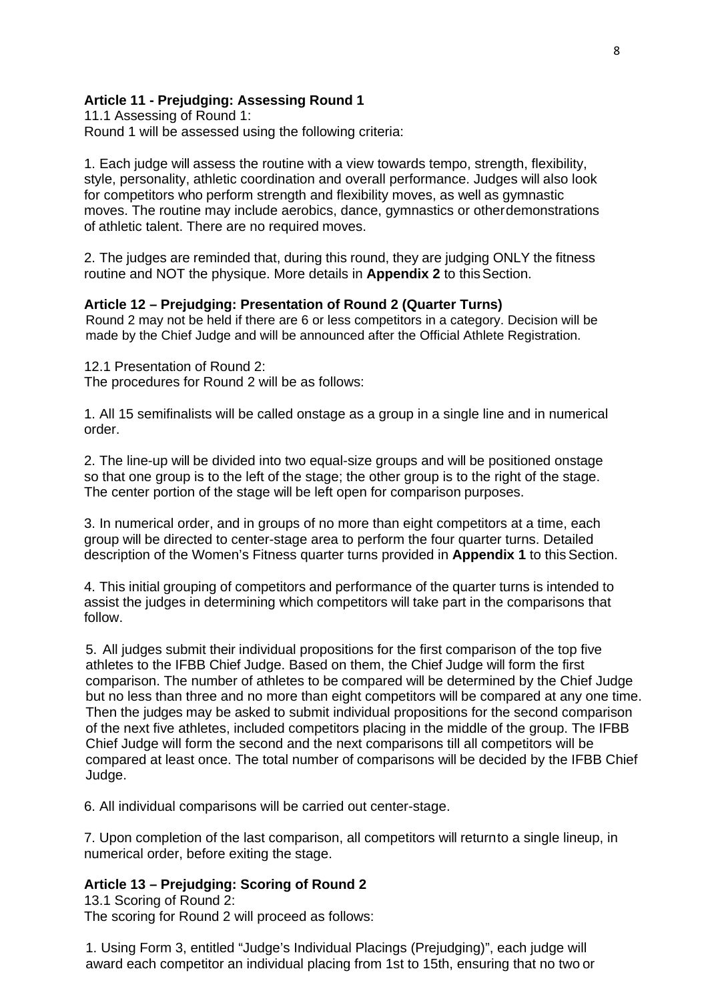#### **Article 11 - Prejudging: Assessing Round 1**

11.1 Assessing of Round 1: Round 1 will be assessed using the following criteria:

1. Each judge will assess the routine with a view towards tempo, strength, flexibility, style, personality, athletic coordination and overall performance. Judges will also look for competitors who perform strength and flexibility moves, as well as gymnastic moves. The routine may include aerobics, dance, gymnastics or otherdemonstrations of athletic talent. There are no required moves.

2. The judges are reminded that, during this round, they are judging ONLY the fitness routine and NOT the physique. More details in **Appendix 2** to thisSection.

#### **Article 12 – Prejudging: Presentation of Round 2 (Quarter Turns)**

Round 2 may not be held if there are 6 or less competitors in a category. Decision will be made by the Chief Judge and will be announced after the Official Athlete Registration.

12.1 Presentation of Round 2: The procedures for Round 2 will be as follows:

1. All 15 semifinalists will be called onstage as a group in a single line and in numerical order.

2. The line-up will be divided into two equal-size groups and will be positioned onstage so that one group is to the left of the stage; the other group is to the right of the stage. The center portion of the stage will be left open for comparison purposes.

3. In numerical order, and in groups of no more than eight competitors at a time, each group will be directed to center-stage area to perform the four quarter turns. Detailed description of the Women's Fitness quarter turns provided in **Appendix 1** to thisSection.

4. This initial grouping of competitors and performance of the quarter turns is intended to assist the judges in determining which competitors will take part in the comparisons that follow.

5. All judges submit their individual propositions for the first comparison of the top five athletes to the IFBB Chief Judge. Based on them, the Chief Judge will form the first comparison. The number of athletes to be compared will be determined by the Chief Judge but no less than three and no more than eight competitors will be compared at any one time. Then the judges may be asked to submit individual propositions for the second comparison of the next five athletes, included competitors placing in the middle of the group. The IFBB Chief Judge will form the second and the next comparisons till all competitors will be compared at least once. The total number of comparisons will be decided by the IFBB Chief Judge.

6. All individual comparisons will be carried out center-stage.

7. Upon completion of the last comparison, all competitors will returnto a single lineup, in numerical order, before exiting the stage.

#### **Article 13 – Prejudging: Scoring of Round 2**

13.1 Scoring of Round 2: The scoring for Round 2 will proceed as follows:

1. Using Form 3, entitled "Judge's Individual Placings (Prejudging)", each judge will award each competitor an individual placing from 1st to 15th, ensuring that no two or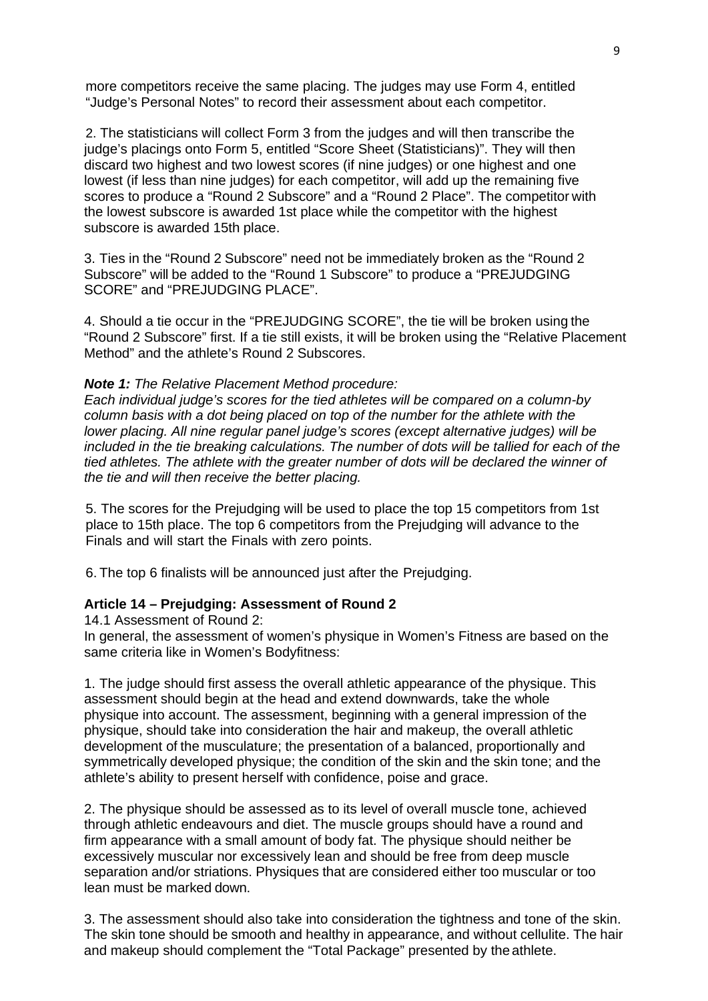more competitors receive the same placing. The judges may use Form 4, entitled "Judge's Personal Notes" to record their assessment about each competitor.

2. The statisticians will collect Form 3 from the judges and will then transcribe the judge's placings onto Form 5, entitled "Score Sheet (Statisticians)". They will then discard two highest and two lowest scores (if nine judges) or one highest and one lowest (if less than nine judges) for each competitor, will add up the remaining five scores to produce a "Round 2 Subscore" and a "Round 2 Place". The competitor with the lowest subscore is awarded 1st place while the competitor with the highest subscore is awarded 15th place.

3. Ties in the "Round 2 Subscore" need not be immediately broken as the "Round 2 Subscore" will be added to the "Round 1 Subscore" to produce a "PREJUDGING SCORE" and "PREJUDGING PLACE".

4. Should a tie occur in the "PREJUDGING SCORE", the tie will be broken using the "Round 2 Subscore" first. If a tie still exists, it will be broken using the "Relative Placement Method" and the athlete's Round 2 Subscores.

#### *Note 1: The Relative Placement Method procedure:*

*Each individual judge's scores for the tied athletes will be compared on a column-by column basis with a dot being placed on top of the number for the athlete with the lower placing. All nine regular panel judge's scores (except alternative judges) will be included in the tie breaking calculations. The number of dots will be tallied for each of the tied athletes. The athlete with the greater number of dots will be declared the winner of the tie and will then receive the better placing.*

5. The scores for the Prejudging will be used to place the top 15 competitors from 1st place to 15th place. The top 6 competitors from the Prejudging will advance to the Finals and will start the Finals with zero points.

6. The top 6 finalists will be announced just after the Prejudging.

#### **Article 14 – Prejudging: Assessment of Round 2**

14.1 Assessment of Round 2:

In general, the assessment of women's physique in Women's Fitness are based on the same criteria like in Women's Bodyfitness:

1. The judge should first assess the overall athletic appearance of the physique. This assessment should begin at the head and extend downwards, take the whole physique into account. The assessment, beginning with a general impression of the physique, should take into consideration the hair and makeup, the overall athletic development of the musculature; the presentation of a balanced, proportionally and symmetrically developed physique; the condition of the skin and the skin tone; and the athlete's ability to present herself with confidence, poise and grace.

2. The physique should be assessed as to its level of overall muscle tone, achieved through athletic endeavours and diet. The muscle groups should have a round and firm appearance with a small amount of body fat. The physique should neither be excessively muscular nor excessively lean and should be free from deep muscle separation and/or striations. Physiques that are considered either too muscular or too lean must be marked down.

3. The assessment should also take into consideration the tightness and tone of the skin. The skin tone should be smooth and healthy in appearance, and without cellulite. The hair and makeup should complement the "Total Package" presented by the athlete.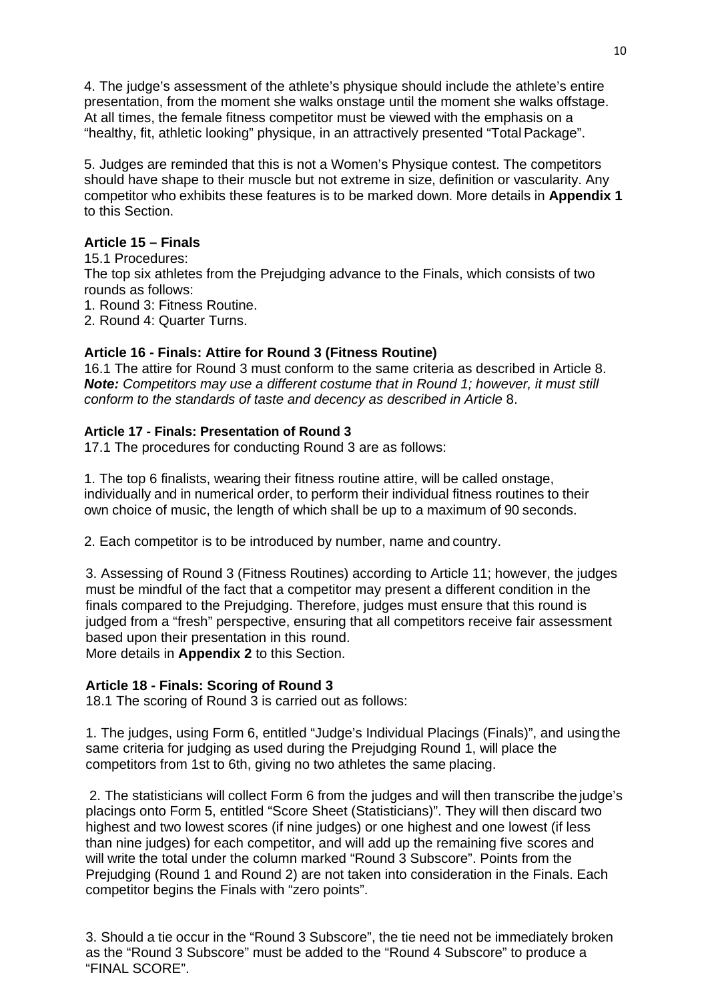4. The judge's assessment of the athlete's physique should include the athlete's entire presentation, from the moment she walks onstage until the moment she walks offstage. At all times, the female fitness competitor must be viewed with the emphasis on a "healthy, fit, athletic looking" physique, in an attractively presented "Total Package".

5. Judges are reminded that this is not a Women's Physique contest. The competitors should have shape to their muscle but not extreme in size, definition or vascularity. Any competitor who exhibits these features is to be marked down. More details in **Appendix 1**  to this Section.

## **Article 15 – Finals**

15.1 Procedures: The top six athletes from the Prejudging advance to the Finals, which consists of two rounds as follows: 1. Round 3: Fitness Routine. 2. Round 4: Quarter Turns.

## **Article 16 - Finals: Attire for Round 3 (Fitness Routine)**

16.1 The attire for Round 3 must conform to the same criteria as described in Article 8. *Note: Competitors may use a different costume that in Round 1; however, it must still conform to the standards of taste and decency as described in Article* 8.

#### **Article 17 - Finals: Presentation of Round 3**

17.1 The procedures for conducting Round 3 are as follows:

1. The top 6 finalists, wearing their fitness routine attire, will be called onstage, individually and in numerical order, to perform their individual fitness routines to their own choice of music, the length of which shall be up to a maximum of 90 seconds.

2. Each competitor is to be introduced by number, name and country.

3. Assessing of Round 3 (Fitness Routines) according to Article 11; however, the judges must be mindful of the fact that a competitor may present a different condition in the finals compared to the Prejudging. Therefore, judges must ensure that this round is judged from a "fresh" perspective, ensuring that all competitors receive fair assessment based upon their presentation in this round.

More details in **Appendix 2** to this Section.

## **Article 18 - Finals: Scoring of Round 3**

18.1 The scoring of Round 3 is carried out as follows:

1. The judges, using Form 6, entitled "Judge's Individual Placings (Finals)", and usingthe same criteria for judging as used during the Prejudging Round 1, will place the competitors from 1st to 6th, giving no two athletes the same placing.

2. The statisticians will collect Form 6 from the judges and will then transcribe the judge's placings onto Form 5, entitled "Score Sheet (Statisticians)". They will then discard two highest and two lowest scores (if nine judges) or one highest and one lowest (if less than nine judges) for each competitor, and will add up the remaining five scores and will write the total under the column marked "Round 3 Subscore". Points from the Prejudging (Round 1 and Round 2) are not taken into consideration in the Finals. Each competitor begins the Finals with "zero points".

3. Should a tie occur in the "Round 3 Subscore", the tie need not be immediately broken as the "Round 3 Subscore" must be added to the "Round 4 Subscore" to produce a "FINAL SCORE".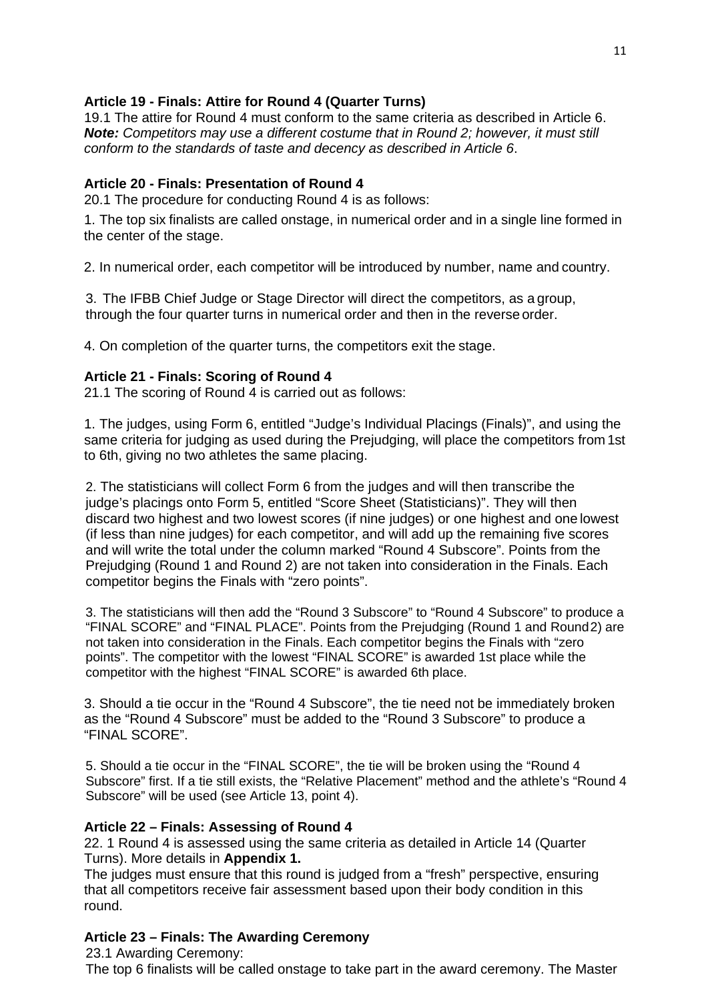## **Article 19 - Finals: Attire for Round 4 (Quarter Turns)**

19.1 The attire for Round 4 must conform to the same criteria as described in Article 6. *Note: Competitors may use a different costume that in Round 2; however, it must still conform to the standards of taste and decency as described in Article 6*.

## **Article 20 - Finals: Presentation of Round 4**

20.1 The procedure for conducting Round 4 is as follows:

1. The top six finalists are called onstage, in numerical order and in a single line formed in the center of the stage.

2. In numerical order, each competitor will be introduced by number, name and country.

3. The IFBB Chief Judge or Stage Director will direct the competitors, as a group, through the four quarter turns in numerical order and then in the reverse order.

4. On completion of the quarter turns, the competitors exit the stage.

#### **Article 21 - Finals: Scoring of Round 4**

21.1 The scoring of Round 4 is carried out as follows:

1. The judges, using Form 6, entitled "Judge's Individual Placings (Finals)", and using the same criteria for judging as used during the Prejudging, will place the competitors from 1st to 6th, giving no two athletes the same placing.

2. The statisticians will collect Form 6 from the judges and will then transcribe the judge's placings onto Form 5, entitled "Score Sheet (Statisticians)". They will then discard two highest and two lowest scores (if nine judges) or one highest and one lowest (if less than nine judges) for each competitor, and will add up the remaining five scores and will write the total under the column marked "Round 4 Subscore". Points from the Prejudging (Round 1 and Round 2) are not taken into consideration in the Finals. Each competitor begins the Finals with "zero points".

3. The statisticians will then add the "Round 3 Subscore" to "Round 4 Subscore" to produce a "FINAL SCORE" and "FINAL PLACE". Points from the Prejudging (Round 1 and Round2) are not taken into consideration in the Finals. Each competitor begins the Finals with "zero points". The competitor with the lowest "FINAL SCORE" is awarded 1st place while the competitor with the highest "FINAL SCORE" is awarded 6th place.

3. Should a tie occur in the "Round 4 Subscore", the tie need not be immediately broken as the "Round 4 Subscore" must be added to the "Round 3 Subscore" to produce a "FINAL SCORE".

5. Should a tie occur in the "FINAL SCORE", the tie will be broken using the "Round 4 Subscore" first. If a tie still exists, the "Relative Placement" method and the athlete's "Round 4 Subscore" will be used (see Article 13, point 4).

#### **Article 22 – Finals: Assessing of Round 4**

22. 1 Round 4 is assessed using the same criteria as detailed in Article 14 (Quarter Turns). More details in **Appendix 1.**

The judges must ensure that this round is judged from a "fresh" perspective, ensuring that all competitors receive fair assessment based upon their body condition in this round.

#### **Article 23 – Finals: The Awarding Ceremony**

23.1 Awarding Ceremony: The top 6 finalists will be called onstage to take part in the award ceremony. The Master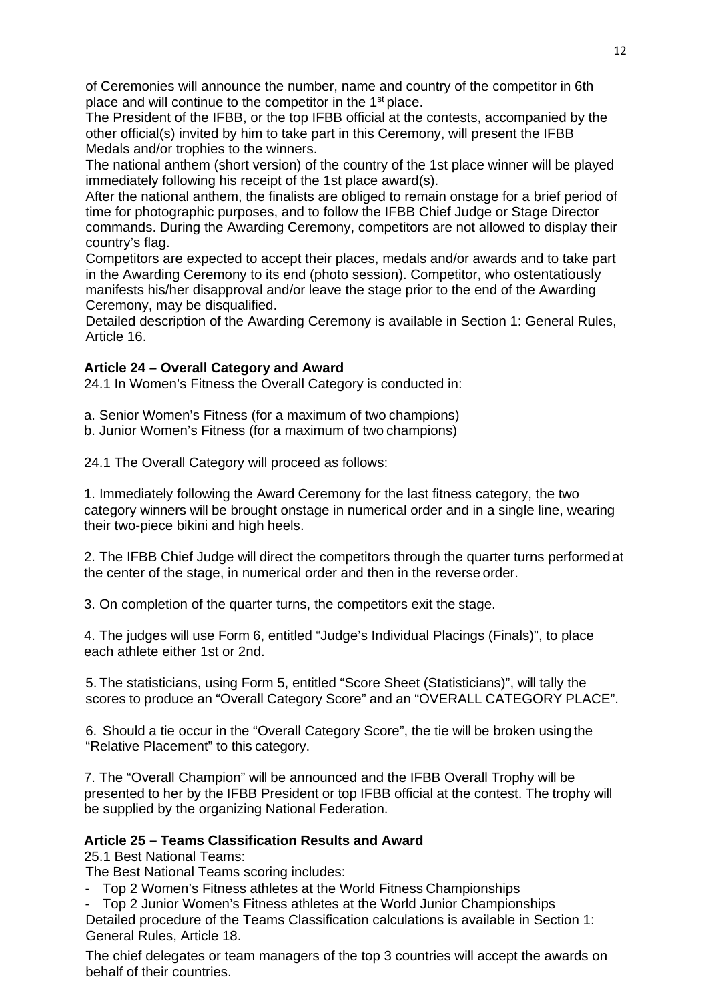of Ceremonies will announce the number, name and country of the competitor in 6th place and will continue to the competitor in the 1st place.

The President of the IFBB, or the top IFBB official at the contests, accompanied by the other official(s) invited by him to take part in this Ceremony, will present the IFBB Medals and/or trophies to the winners.

The national anthem (short version) of the country of the 1st place winner will be played immediately following his receipt of the 1st place award(s).

After the national anthem, the finalists are obliged to remain onstage for a brief period of time for photographic purposes, and to follow the IFBB Chief Judge or Stage Director commands. During the Awarding Ceremony, competitors are not allowed to display their country's flag.

Competitors are expected to accept their places, medals and/or awards and to take part in the Awarding Ceremony to its end (photo session). Competitor, who ostentatiously manifests his/her disapproval and/or leave the stage prior to the end of the Awarding Ceremony, may be disqualified.

Detailed description of the Awarding Ceremony is available in Section 1: General Rules, Article 16.

## **Article 24 – Overall Category and Award**

24.1 In Women's Fitness the Overall Category is conducted in:

a. Senior Women's Fitness (for a maximum of two champions)

b. Junior Women's Fitness (for a maximum of two champions)

24.1 The Overall Category will proceed as follows:

1. Immediately following the Award Ceremony for the last fitness category, the two category winners will be brought onstage in numerical order and in a single line, wearing their two-piece bikini and high heels.

2. The IFBB Chief Judge will direct the competitors through the quarter turns performedat the center of the stage, in numerical order and then in the reverse order.

3. On completion of the quarter turns, the competitors exit the stage.

4. The judges will use Form 6, entitled "Judge's Individual Placings (Finals)", to place each athlete either 1st or 2nd.

5. The statisticians, using Form 5, entitled "Score Sheet (Statisticians)", will tally the scores to produce an "Overall Category Score" and an "OVERALL CATEGORY PLACE".

6. Should a tie occur in the "Overall Category Score", the tie will be broken using the "Relative Placement" to this category.

7. The "Overall Champion" will be announced and the IFBB Overall Trophy will be presented to her by the IFBB President or top IFBB official at the contest. The trophy will be supplied by the organizing National Federation.

#### **Article 25 – Teams Classification Results and Award**

25.1 Best National Teams:

The Best National Teams scoring includes:

- Top 2 Women's Fitness athletes at the World Fitness Championships

- Top 2 Junior Women's Fitness athletes at the World Junior Championships

Detailed procedure of the Teams Classification calculations is available in Section 1: General Rules, Article 18.

The chief delegates or team managers of the top 3 countries will accept the awards on behalf of their countries.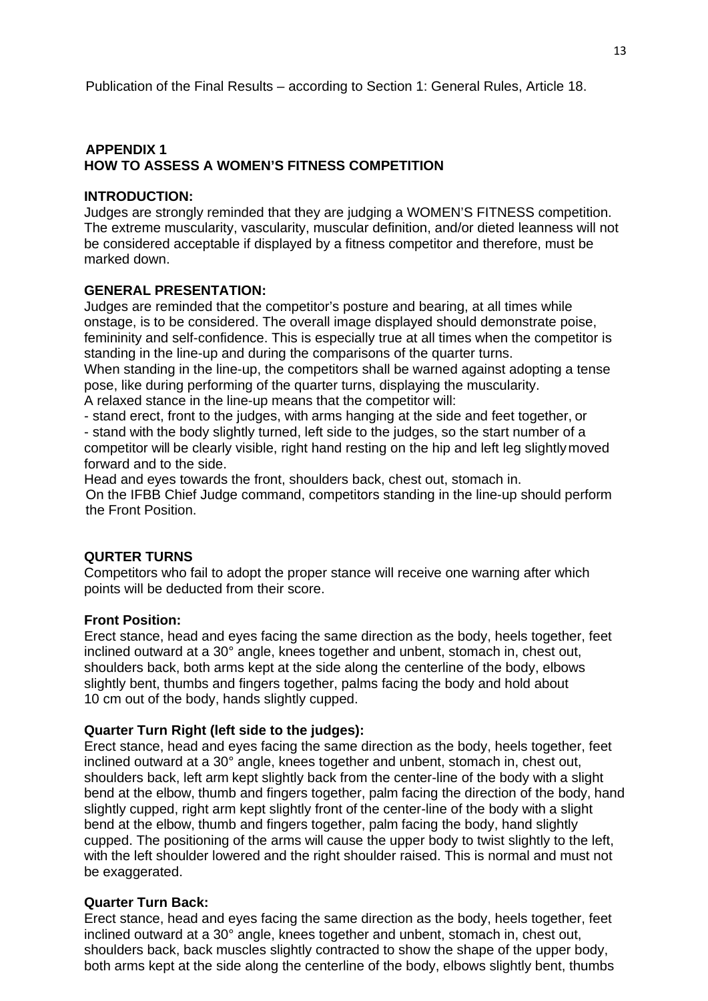#### **APPENDIX 1 HOW TO ASSESS A WOMEN'S FITNESS COMPETITION**

#### **INTRODUCTION:**

Judges are strongly reminded that they are judging a WOMEN'S FITNESS competition. The extreme muscularity, vascularity, muscular definition, and/or dieted leanness will not be considered acceptable if displayed by a fitness competitor and therefore, must be marked down.

#### **GENERAL PRESENTATION:**

Judges are reminded that the competitor's posture and bearing, at all times while onstage, is to be considered. The overall image displayed should demonstrate poise, femininity and self-confidence. This is especially true at all times when the competitor is standing in the line-up and during the comparisons of the quarter turns.

When standing in the line-up, the competitors shall be warned against adopting a tense pose, like during performing of the quarter turns, displaying the muscularity.

A relaxed stance in the line-up means that the competitor will:

- stand erect, front to the judges, with arms hanging at the side and feet together, or - stand with the body slightly turned, left side to the judges, so the start number of a competitor will be clearly visible, right hand resting on the hip and left leg slightlymoved forward and to the side.

Head and eyes towards the front, shoulders back, chest out, stomach in. On the IFBB Chief Judge command, competitors standing in the line-up should perform the Front Position.

#### **QURTER TURNS**

Competitors who fail to adopt the proper stance will receive one warning after which points will be deducted from their score.

#### **Front Position:**

Erect stance, head and eyes facing the same direction as the body, heels together, feet inclined outward at a 30° angle, knees together and unbent, stomach in, chest out, shoulders back, both arms kept at the side along the centerline of the body, elbows slightly bent, thumbs and fingers together, palms facing the body and hold about 10 cm out of the body, hands slightly cupped.

#### **Quarter Turn Right (left side to the judges):**

Erect stance, head and eyes facing the same direction as the body, heels together, feet inclined outward at a 30° angle, knees together and unbent, stomach in, chest out, shoulders back, left arm kept slightly back from the center-line of the body with a slight bend at the elbow, thumb and fingers together, palm facing the direction of the body, hand slightly cupped, right arm kept slightly front of the center-line of the body with a slight bend at the elbow, thumb and fingers together, palm facing the body, hand slightly cupped. The positioning of the arms will cause the upper body to twist slightly to the left, with the left shoulder lowered and the right shoulder raised. This is normal and must not be exaggerated.

#### **Quarter Turn Back:**

Erect stance, head and eyes facing the same direction as the body, heels together, feet inclined outward at a 30° angle, knees together and unbent, stomach in, chest out, shoulders back, back muscles slightly contracted to show the shape of the upper body, both arms kept at the side along the centerline of the body, elbows slightly bent, thumbs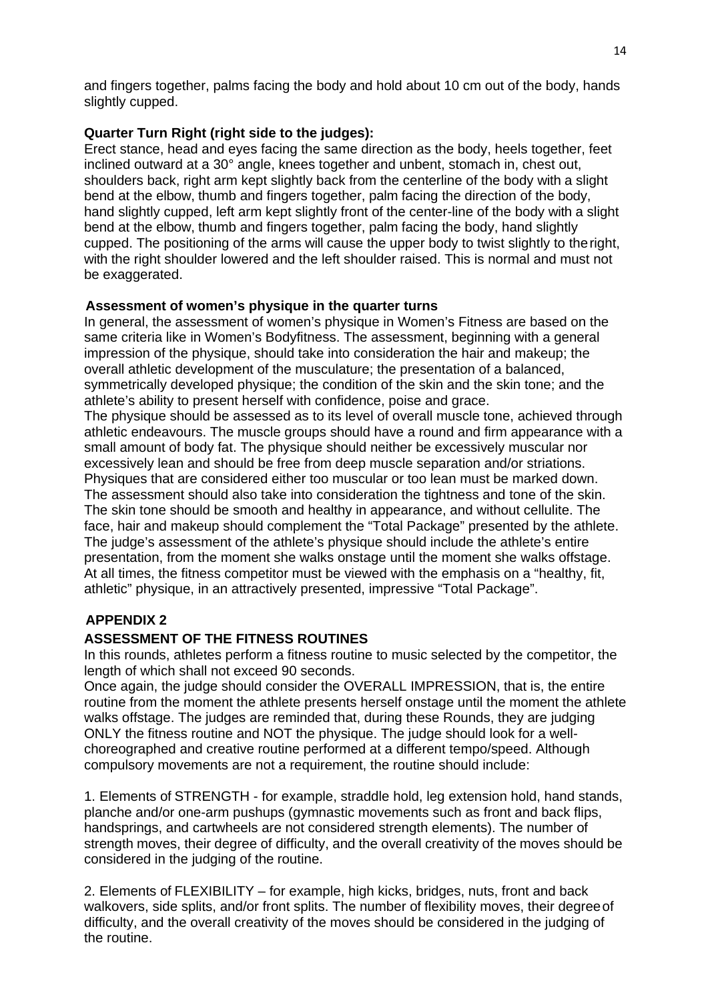and fingers together, palms facing the body and hold about 10 cm out of the body, hands slightly cupped.

## **Quarter Turn Right (right side to the judges):**

Erect stance, head and eyes facing the same direction as the body, heels together, feet inclined outward at a 30° angle, knees together and unbent, stomach in, chest out, shoulders back, right arm kept slightly back from the centerline of the body with a slight bend at the elbow, thumb and fingers together, palm facing the direction of the body, hand slightly cupped, left arm kept slightly front of the center-line of the body with a slight bend at the elbow, thumb and fingers together, palm facing the body, hand slightly cupped. The positioning of the arms will cause the upper body to twist slightly to theright, with the right shoulder lowered and the left shoulder raised. This is normal and must not be exaggerated.

## **Assessment of women's physique in the quarter turns**

In general, the assessment of women's physique in Women's Fitness are based on the same criteria like in Women's Bodyfitness. The assessment, beginning with a general impression of the physique, should take into consideration the hair and makeup; the overall athletic development of the musculature; the presentation of a balanced, symmetrically developed physique; the condition of the skin and the skin tone; and the athlete's ability to present herself with confidence, poise and grace. The physique should be assessed as to its level of overall muscle tone, achieved through

athletic endeavours. The muscle groups should have a round and firm appearance with a small amount of body fat. The physique should neither be excessively muscular nor excessively lean and should be free from deep muscle separation and/or striations. Physiques that are considered either too muscular or too lean must be marked down. The assessment should also take into consideration the tightness and tone of the skin. The skin tone should be smooth and healthy in appearance, and without cellulite. The face, hair and makeup should complement the "Total Package" presented by the athlete. The judge's assessment of the athlete's physique should include the athlete's entire presentation, from the moment she walks onstage until the moment she walks offstage. At all times, the fitness competitor must be viewed with the emphasis on a "healthy, fit, athletic" physique, in an attractively presented, impressive "Total Package".

# **APPENDIX 2**

# **ASSESSMENT OF THE FITNESS ROUTINES**

In this rounds, athletes perform a fitness routine to music selected by the competitor, the length of which shall not exceed 90 seconds.

Once again, the judge should consider the OVERALL IMPRESSION, that is, the entire routine from the moment the athlete presents herself onstage until the moment the athlete walks offstage. The judges are reminded that, during these Rounds, they are judging ONLY the fitness routine and NOT the physique. The judge should look for a wellchoreographed and creative routine performed at a different tempo/speed. Although compulsory movements are not a requirement, the routine should include:

1. Elements of STRENGTH - for example, straddle hold, leg extension hold, hand stands, planche and/or one-arm pushups (gymnastic movements such as front and back flips, handsprings, and cartwheels are not considered strength elements). The number of strength moves, their degree of difficulty, and the overall creativity of the moves should be considered in the judging of the routine.

2. Elements of FLEXIBILITY – for example, high kicks, bridges, nuts, front and back walkovers, side splits, and/or front splits. The number of flexibility moves, their degreeof difficulty, and the overall creativity of the moves should be considered in the judging of the routine.